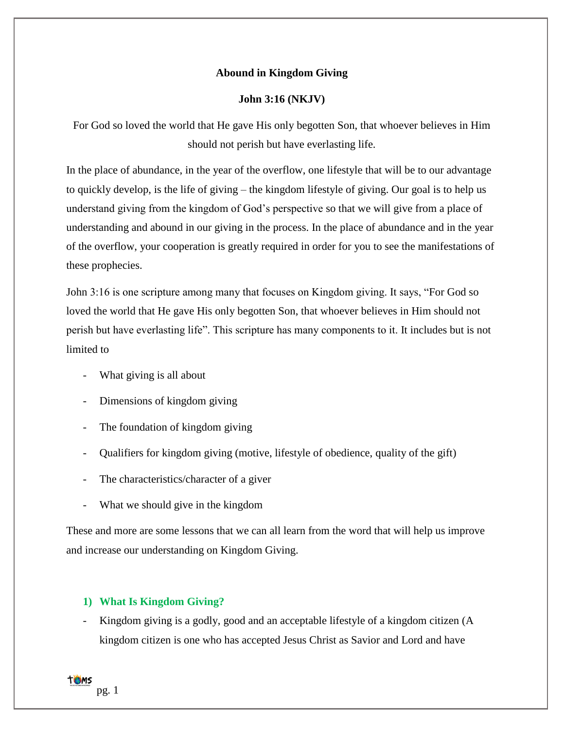# **Abound in Kingdom Giving**

# **John 3:16 (NKJV)**

For God so loved the world that He gave His only begotten Son, that whoever believes in Him should not perish but have everlasting life.

In the place of abundance, in the year of the overflow, one lifestyle that will be to our advantage to quickly develop, is the life of giving – the kingdom lifestyle of giving. Our goal is to help us understand giving from the kingdom of God's perspective so that we will give from a place of understanding and abound in our giving in the process. In the place of abundance and in the year of the overflow, your cooperation is greatly required in order for you to see the manifestations of these prophecies.

John 3:16 is one scripture among many that focuses on Kingdom giving. It says, "For God so loved the world that He gave His only begotten Son, that whoever believes in Him should not perish but have everlasting life". This scripture has many components to it. It includes but is not limited to

- What giving is all about
- Dimensions of kingdom giving
- The foundation of kingdom giving
- Qualifiers for kingdom giving (motive, lifestyle of obedience, quality of the gift)
- The characteristics/character of a giver
- What we should give in the kingdom

These and more are some lessons that we can all learn from the word that will help us improve and increase our understanding on Kingdom Giving.

## **1) What Is Kingdom Giving?**

Kingdom giving is a godly, good and an acceptable lifestyle of a kingdom citizen (A kingdom citizen is one who has accepted Jesus Christ as Savior and Lord and have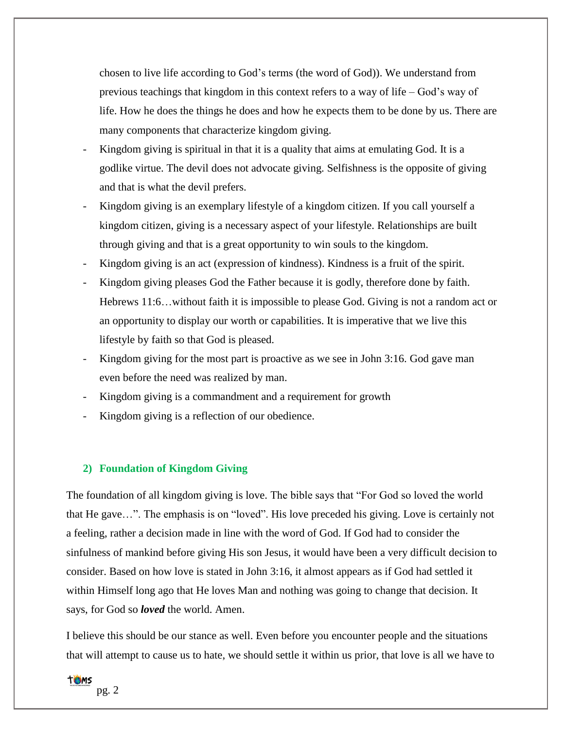chosen to live life according to God's terms (the word of God)). We understand from previous teachings that kingdom in this context refers to a way of life – God's way of life. How he does the things he does and how he expects them to be done by us. There are many components that characterize kingdom giving.

- Kingdom giving is spiritual in that it is a quality that aims at emulating God. It is a godlike virtue. The devil does not advocate giving. Selfishness is the opposite of giving and that is what the devil prefers.
- Kingdom giving is an exemplary lifestyle of a kingdom citizen. If you call yourself a kingdom citizen, giving is a necessary aspect of your lifestyle. Relationships are built through giving and that is a great opportunity to win souls to the kingdom.
- Kingdom giving is an act (expression of kindness). Kindness is a fruit of the spirit.
- Kingdom giving pleases God the Father because it is godly, therefore done by faith. Hebrews 11:6…without faith it is impossible to please God. Giving is not a random act or an opportunity to display our worth or capabilities. It is imperative that we live this lifestyle by faith so that God is pleased.
- Kingdom giving for the most part is proactive as we see in John 3:16. God gave man even before the need was realized by man.
- Kingdom giving is a commandment and a requirement for growth
- Kingdom giving is a reflection of our obedience.

#### **2) Foundation of Kingdom Giving**

The foundation of all kingdom giving is love. The bible says that "For God so loved the world that He gave…". The emphasis is on "loved". His love preceded his giving. Love is certainly not a feeling, rather a decision made in line with the word of God. If God had to consider the sinfulness of mankind before giving His son Jesus, it would have been a very difficult decision to consider. Based on how love is stated in John 3:16, it almost appears as if God had settled it within Himself long ago that He loves Man and nothing was going to change that decision. It says, for God so *loved* the world. Amen.

I believe this should be our stance as well. Even before you encounter people and the situations that will attempt to cause us to hate, we should settle it within us prior, that love is all we have to

# **TOMS**

pg. 2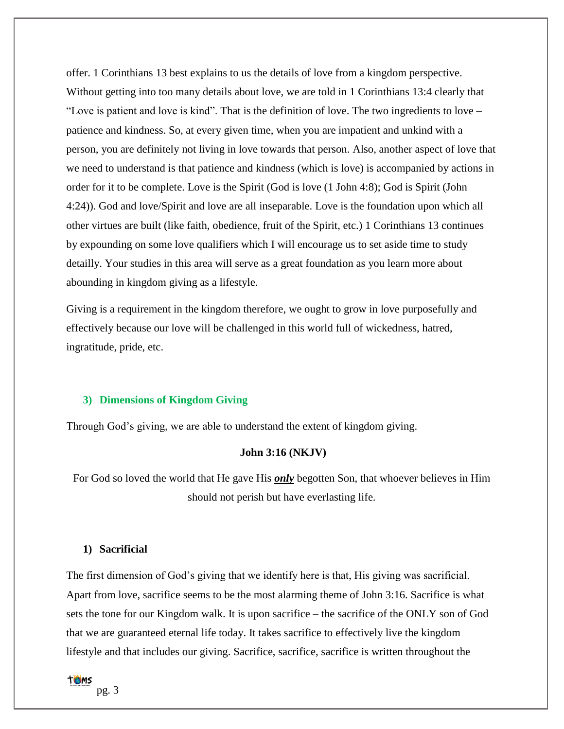offer. 1 Corinthians 13 best explains to us the details of love from a kingdom perspective. Without getting into too many details about love, we are told in 1 Corinthians 13:4 clearly that "Love is patient and love is kind". That is the definition of love. The two ingredients to love – patience and kindness. So, at every given time, when you are impatient and unkind with a person, you are definitely not living in love towards that person. Also, another aspect of love that we need to understand is that patience and kindness (which is love) is accompanied by actions in order for it to be complete. Love is the Spirit (God is love (1 John 4:8); God is Spirit (John 4:24)). God and love/Spirit and love are all inseparable. Love is the foundation upon which all other virtues are built (like faith, obedience, fruit of the Spirit, etc.) 1 Corinthians 13 continues by expounding on some love qualifiers which I will encourage us to set aside time to study detailly. Your studies in this area will serve as a great foundation as you learn more about abounding in kingdom giving as a lifestyle.

Giving is a requirement in the kingdom therefore, we ought to grow in love purposefully and effectively because our love will be challenged in this world full of wickedness, hatred, ingratitude, pride, etc.

### **3) Dimensions of Kingdom Giving**

Through God's giving, we are able to understand the extent of kingdom giving.

### **John 3:16 (NKJV)**

For God so loved the world that He gave His *only* begotten Son, that whoever believes in Him should not perish but have everlasting life.

# **1) Sacrificial**

The first dimension of God's giving that we identify here is that, His giving was sacrificial. Apart from love, sacrifice seems to be the most alarming theme of John 3:16. Sacrifice is what sets the tone for our Kingdom walk. It is upon sacrifice – the sacrifice of the ONLY son of God that we are guaranteed eternal life today. It takes sacrifice to effectively live the kingdom lifestyle and that includes our giving. Sacrifice, sacrifice, sacrifice is written throughout the



pg. 3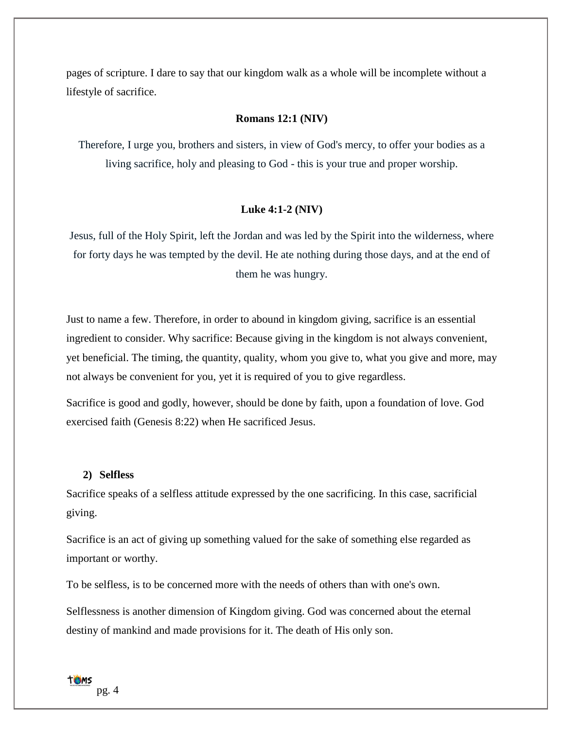pages of scripture. I dare to say that our kingdom walk as a whole will be incomplete without a lifestyle of sacrifice.

## **Romans 12:1 (NIV)**

Therefore, I urge you, brothers and sisters, in view of God's mercy, to offer your bodies as a living sacrifice, holy and pleasing to God - this is your true and proper worship.

### **Luke 4:1-2 (NIV)**

Jesus, full of the Holy Spirit, left the Jordan and was led by the Spirit into the wilderness, where for forty days he was tempted by the devil. He ate nothing during those days, and at the end of them he was hungry.

Just to name a few. Therefore, in order to abound in kingdom giving, sacrifice is an essential ingredient to consider. Why sacrifice: Because giving in the kingdom is not always convenient, yet beneficial. The timing, the quantity, quality, whom you give to, what you give and more, may not always be convenient for you, yet it is required of you to give regardless.

Sacrifice is good and godly, however, should be done by faith, upon a foundation of love. God exercised faith (Genesis 8:22) when He sacrificed Jesus.

### **2) Selfless**

Sacrifice speaks of a selfless attitude expressed by the one sacrificing. In this case, sacrificial giving.

Sacrifice is an act of giving up something valued for the sake of something else regarded as important or worthy.

To be selfless, is to be concerned more with the needs of others than with one's own.

Selflessness is another dimension of Kingdom giving. God was concerned about the eternal destiny of mankind and made provisions for it. The death of His only son.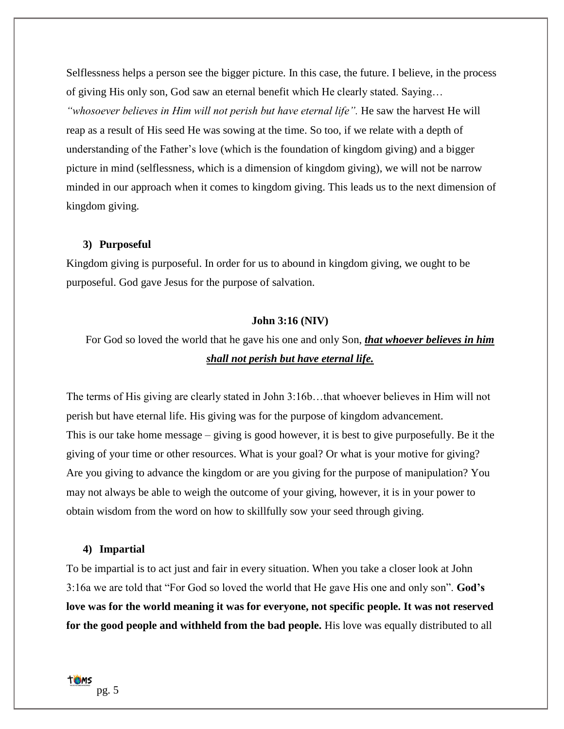Selflessness helps a person see the bigger picture. In this case, the future. I believe, in the process of giving His only son, God saw an eternal benefit which He clearly stated. Saying… *"whosoever believes in Him will not perish but have eternal life".* He saw the harvest He will reap as a result of His seed He was sowing at the time. So too, if we relate with a depth of understanding of the Father's love (which is the foundation of kingdom giving) and a bigger picture in mind (selflessness, which is a dimension of kingdom giving), we will not be narrow minded in our approach when it comes to kingdom giving. This leads us to the next dimension of kingdom giving.

### **3) Purposeful**

Kingdom giving is purposeful. In order for us to abound in kingdom giving, we ought to be purposeful. God gave Jesus for the purpose of salvation.

## **John 3:16 (NIV)**

For God so loved the world that he gave his one and only Son, *that whoever believes in him shall not perish but have eternal life.*

The terms of His giving are clearly stated in John 3:16b…that whoever believes in Him will not perish but have eternal life. His giving was for the purpose of kingdom advancement. This is our take home message – giving is good however, it is best to give purposefully. Be it the giving of your time or other resources. What is your goal? Or what is your motive for giving? Are you giving to advance the kingdom or are you giving for the purpose of manipulation? You may not always be able to weigh the outcome of your giving, however, it is in your power to obtain wisdom from the word on how to skillfully sow your seed through giving.

#### **4) Impartial**

To be impartial is to act just and fair in every situation. When you take a closer look at John 3:16a we are told that "For God so loved the world that He gave His one and only son". **God's love was for the world meaning it was for everyone, not specific people. It was not reserved for the good people and withheld from the bad people.** His love was equally distributed to all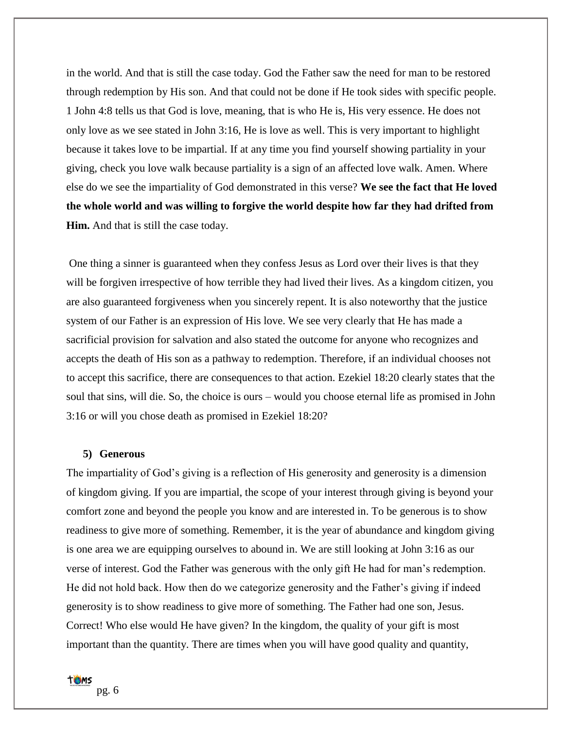in the world. And that is still the case today. God the Father saw the need for man to be restored through redemption by His son. And that could not be done if He took sides with specific people. 1 John 4:8 tells us that God is love, meaning, that is who He is, His very essence. He does not only love as we see stated in John 3:16, He is love as well. This is very important to highlight because it takes love to be impartial. If at any time you find yourself showing partiality in your giving, check you love walk because partiality is a sign of an affected love walk. Amen. Where else do we see the impartiality of God demonstrated in this verse? **We see the fact that He loved the whole world and was willing to forgive the world despite how far they had drifted from Him.** And that is still the case today.

One thing a sinner is guaranteed when they confess Jesus as Lord over their lives is that they will be forgiven irrespective of how terrible they had lived their lives. As a kingdom citizen, you are also guaranteed forgiveness when you sincerely repent. It is also noteworthy that the justice system of our Father is an expression of His love. We see very clearly that He has made a sacrificial provision for salvation and also stated the outcome for anyone who recognizes and accepts the death of His son as a pathway to redemption. Therefore, if an individual chooses not to accept this sacrifice, there are consequences to that action. Ezekiel 18:20 clearly states that the soul that sins, will die. So, the choice is ours – would you choose eternal life as promised in John 3:16 or will you chose death as promised in Ezekiel 18:20?

#### **5) Generous**

The impartiality of God's giving is a reflection of His generosity and generosity is a dimension of kingdom giving. If you are impartial, the scope of your interest through giving is beyond your comfort zone and beyond the people you know and are interested in. To be generous is to show readiness to give more of something. Remember, it is the year of abundance and kingdom giving is one area we are equipping ourselves to abound in. We are still looking at John 3:16 as our verse of interest. God the Father was generous with the only gift He had for man's redemption. He did not hold back. How then do we categorize generosity and the Father's giving if indeed generosity is to show readiness to give more of something. The Father had one son, Jesus. Correct! Who else would He have given? In the kingdom, the quality of your gift is most important than the quantity. There are times when you will have good quality and quantity,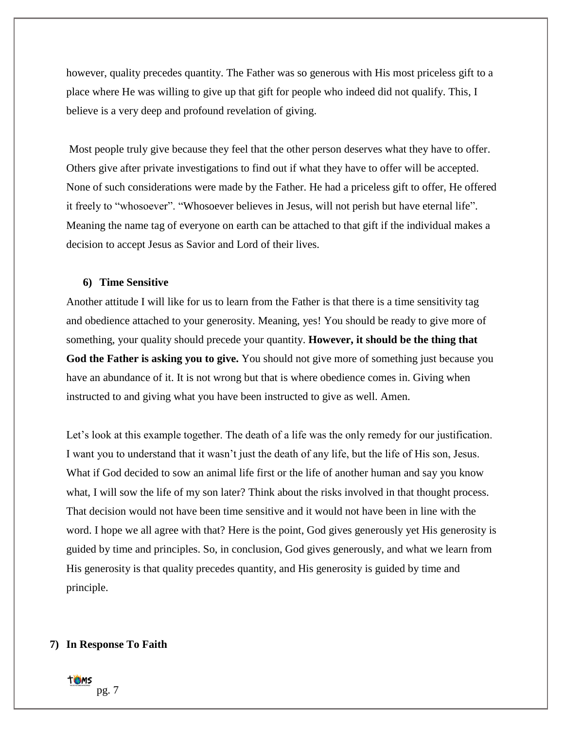however, quality precedes quantity. The Father was so generous with His most priceless gift to a place where He was willing to give up that gift for people who indeed did not qualify. This, I believe is a very deep and profound revelation of giving.

Most people truly give because they feel that the other person deserves what they have to offer. Others give after private investigations to find out if what they have to offer will be accepted. None of such considerations were made by the Father. He had a priceless gift to offer, He offered it freely to "whosoever". "Whosoever believes in Jesus, will not perish but have eternal life". Meaning the name tag of everyone on earth can be attached to that gift if the individual makes a decision to accept Jesus as Savior and Lord of their lives.

#### **6) Time Sensitive**

Another attitude I will like for us to learn from the Father is that there is a time sensitivity tag and obedience attached to your generosity. Meaning, yes! You should be ready to give more of something, your quality should precede your quantity. **However, it should be the thing that God the Father is asking you to give.** You should not give more of something just because you have an abundance of it. It is not wrong but that is where obedience comes in. Giving when instructed to and giving what you have been instructed to give as well. Amen.

Let's look at this example together. The death of a life was the only remedy for our justification. I want you to understand that it wasn't just the death of any life, but the life of His son, Jesus. What if God decided to sow an animal life first or the life of another human and say you know what, I will sow the life of my son later? Think about the risks involved in that thought process. That decision would not have been time sensitive and it would not have been in line with the word. I hope we all agree with that? Here is the point, God gives generously yet His generosity is guided by time and principles. So, in conclusion, God gives generously, and what we learn from His generosity is that quality precedes quantity, and His generosity is guided by time and principle.

### **7) In Response To Faith**

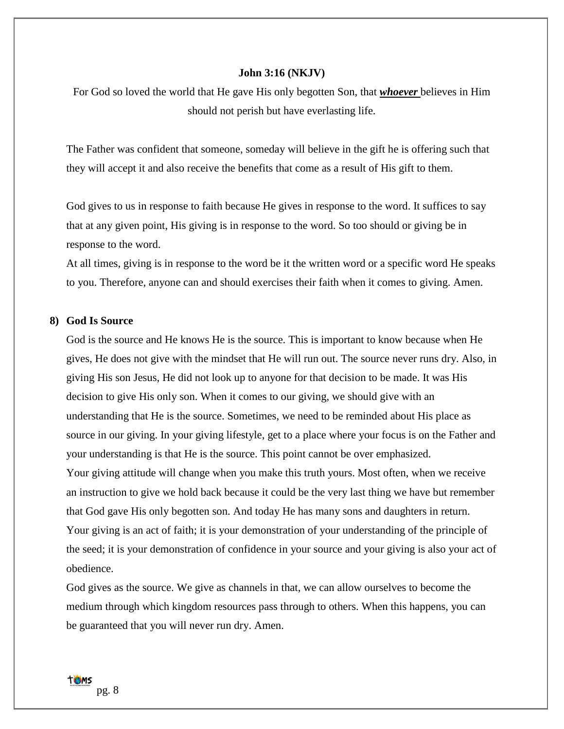#### **John 3:16 (NKJV)**

For God so loved the world that He gave His only begotten Son, that *whoever* believes in Him should not perish but have everlasting life.

The Father was confident that someone, someday will believe in the gift he is offering such that they will accept it and also receive the benefits that come as a result of His gift to them.

God gives to us in response to faith because He gives in response to the word. It suffices to say that at any given point, His giving is in response to the word. So too should or giving be in response to the word.

At all times, giving is in response to the word be it the written word or a specific word He speaks to you. Therefore, anyone can and should exercises their faith when it comes to giving. Amen.

## **8) God Is Source**

God is the source and He knows He is the source. This is important to know because when He gives, He does not give with the mindset that He will run out. The source never runs dry. Also, in giving His son Jesus, He did not look up to anyone for that decision to be made. It was His decision to give His only son. When it comes to our giving, we should give with an understanding that He is the source. Sometimes, we need to be reminded about His place as source in our giving. In your giving lifestyle, get to a place where your focus is on the Father and your understanding is that He is the source. This point cannot be over emphasized. Your giving attitude will change when you make this truth yours. Most often, when we receive an instruction to give we hold back because it could be the very last thing we have but remember that God gave His only begotten son. And today He has many sons and daughters in return. Your giving is an act of faith; it is your demonstration of your understanding of the principle of the seed; it is your demonstration of confidence in your source and your giving is also your act of obedience.

God gives as the source. We give as channels in that, we can allow ourselves to become the medium through which kingdom resources pass through to others. When this happens, you can be guaranteed that you will never run dry. Amen.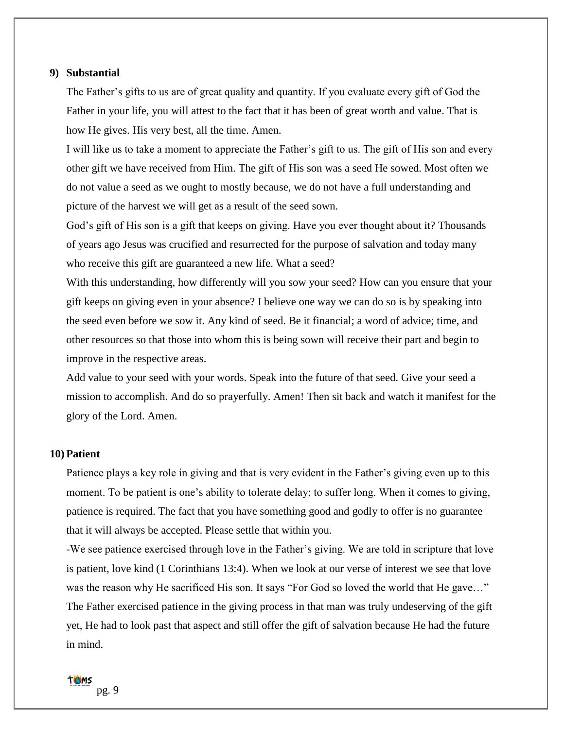## **9) Substantial**

The Father's gifts to us are of great quality and quantity. If you evaluate every gift of God the Father in your life, you will attest to the fact that it has been of great worth and value. That is how He gives. His very best, all the time. Amen.

I will like us to take a moment to appreciate the Father's gift to us. The gift of His son and every other gift we have received from Him. The gift of His son was a seed He sowed. Most often we do not value a seed as we ought to mostly because, we do not have a full understanding and picture of the harvest we will get as a result of the seed sown.

God's gift of His son is a gift that keeps on giving. Have you ever thought about it? Thousands of years ago Jesus was crucified and resurrected for the purpose of salvation and today many who receive this gift are guaranteed a new life. What a seed?

With this understanding, how differently will you sow your seed? How can you ensure that your gift keeps on giving even in your absence? I believe one way we can do so is by speaking into the seed even before we sow it. Any kind of seed. Be it financial; a word of advice; time, and other resources so that those into whom this is being sown will receive their part and begin to improve in the respective areas.

Add value to your seed with your words. Speak into the future of that seed. Give your seed a mission to accomplish. And do so prayerfully. Amen! Then sit back and watch it manifest for the glory of the Lord. Amen.

### **10) Patient**

Patience plays a key role in giving and that is very evident in the Father's giving even up to this moment. To be patient is one's ability to tolerate delay; to suffer long. When it comes to giving, patience is required. The fact that you have something good and godly to offer is no guarantee that it will always be accepted. Please settle that within you.

-We see patience exercised through love in the Father's giving. We are told in scripture that love is patient, love kind (1 Corinthians 13:4). When we look at our verse of interest we see that love was the reason why He sacrificed His son. It says "For God so loved the world that He gave…" The Father exercised patience in the giving process in that man was truly undeserving of the gift yet, He had to look past that aspect and still offer the gift of salvation because He had the future in mind.